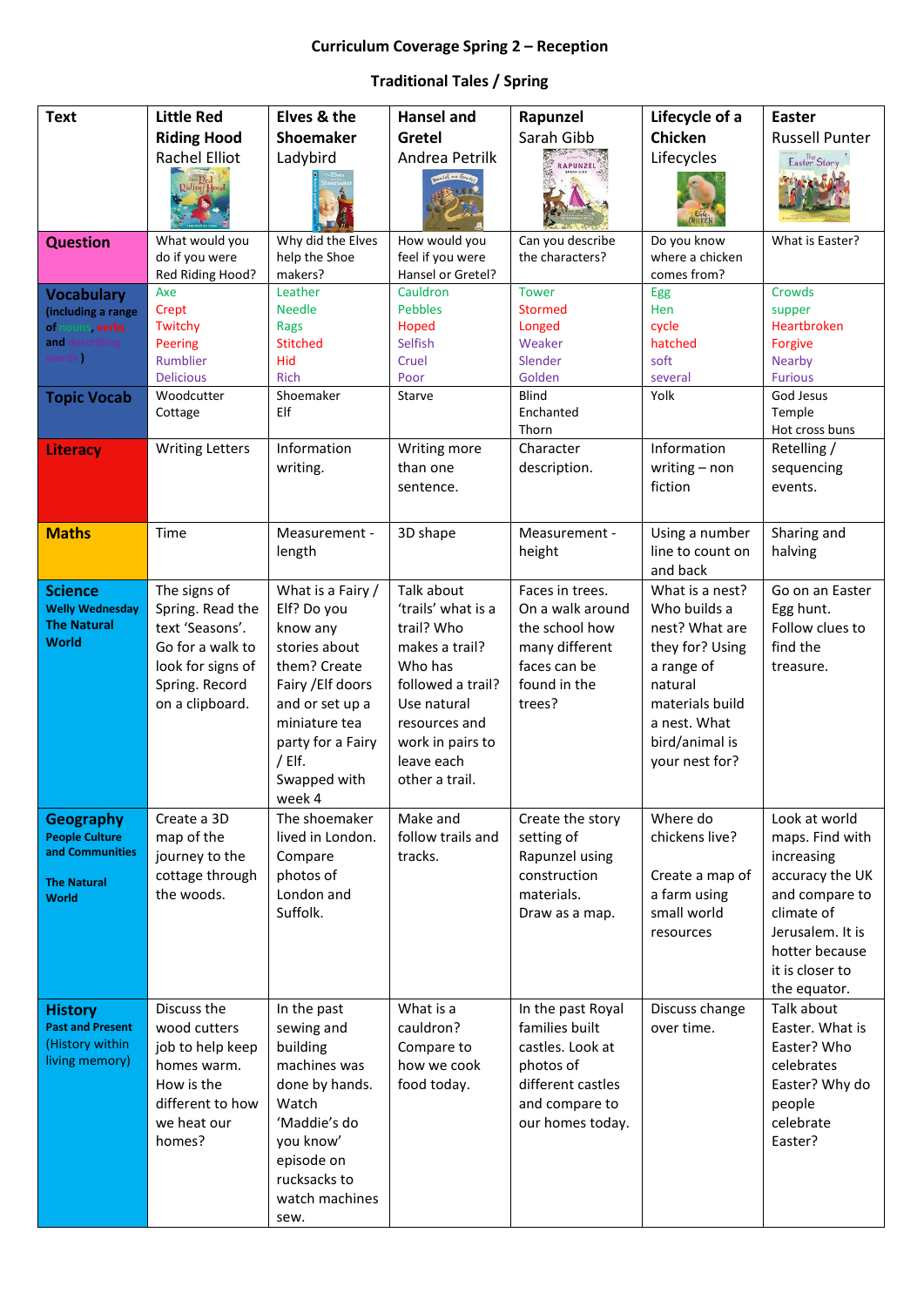## **Curriculum Coverage Spring 2 – Reception**

## **Traditional Tales / Spring**

| <b>Text</b>                      | <b>Little Red</b>       | Elves & the                        | <b>Hansel and</b>                 | Rapunzel                | Lifecycle of a                  | <b>Easter</b>                      |
|----------------------------------|-------------------------|------------------------------------|-----------------------------------|-------------------------|---------------------------------|------------------------------------|
|                                  | <b>Riding Hood</b>      | <b>Shoemaker</b>                   | Gretel                            | Sarah Gibb              | Chicken                         | <b>Russell Punter</b>              |
|                                  | <b>Rachel Elliot</b>    | Ladybird                           | Andrea Petrilk                    |                         | Lifecycles                      | Easter Story                       |
|                                  |                         |                                    | Hansel - Groter                   |                         |                                 |                                    |
|                                  | Liet Red<br>Riding Hood |                                    |                                   |                         |                                 |                                    |
|                                  |                         |                                    |                                   |                         |                                 |                                    |
| <b>Question</b>                  | What would you          | Why did the Elves                  | How would you                     | Can you describe        | Do you know                     | What is Easter?                    |
|                                  | do if you were          | help the Shoe                      | feel if you were                  | the characters?         | where a chicken                 |                                    |
|                                  | Red Riding Hood?        | makers?                            | Hansel or Gretel?                 |                         | comes from?                     |                                    |
| <b>Vocabulary</b>                | Axe                     | Leather                            | Cauldron<br><b>Pebbles</b>        | <b>Tower</b><br>Stormed | Egg<br>Hen                      | Crowds                             |
| (including a range<br>ouns verbs | Crept<br>Twitchy        | <b>Needle</b><br>Rags              | Hoped                             | Longed                  | cycle                           | supper<br>Heartbroken              |
| and<br>scribir!                  | Peering                 | <b>Stitched</b>                    | Selfish                           | Weaker                  | hatched                         | Forgive                            |
| words                            | Rumblier                | Hid                                | Cruel                             | Slender                 | soft                            | <b>Nearby</b>                      |
|                                  | <b>Delicious</b>        | <b>Rich</b>                        | Poor                              | Golden                  | several                         | <b>Furious</b>                     |
| <b>Topic Vocab</b>               | Woodcutter              | Shoemaker                          | Starve                            | <b>Blind</b>            | Yolk                            | God Jesus                          |
|                                  | Cottage                 | Elf                                |                                   | Enchanted<br>Thorn      |                                 | Temple<br>Hot cross buns           |
| <b>Literacy</b>                  | <b>Writing Letters</b>  | Information                        | Writing more                      | Character               | Information                     | Retelling /                        |
|                                  |                         | writing.                           | than one                          | description.            | writing $-$ non                 | sequencing                         |
|                                  |                         |                                    | sentence.                         |                         | fiction                         | events.                            |
|                                  |                         |                                    |                                   |                         |                                 |                                    |
| <b>Maths</b>                     | Time                    | Measurement -                      | 3D shape                          | Measurement -           | Using a number                  | Sharing and                        |
|                                  |                         | length                             |                                   | height                  | line to count on                | halving                            |
|                                  |                         |                                    |                                   |                         | and back                        |                                    |
| <b>Science</b>                   | The signs of            | What is a Fairy /                  | Talk about                        | Faces in trees.         | What is a nest?                 | Go on an Easter                    |
| <b>Welly Wednesday</b>           | Spring. Read the        | Elf? Do you                        | 'trails' what is a                | On a walk around        | Who builds a                    | Egg hunt.                          |
| <b>The Natural</b>               | text 'Seasons'.         | know any                           | trail? Who                        | the school how          | nest? What are                  | Follow clues to                    |
| <b>World</b>                     | Go for a walk to        | stories about                      | makes a trail?                    | many different          | they for? Using                 | find the                           |
|                                  | look for signs of       | them? Create                       | Who has                           | faces can be            | a range of                      | treasure.                          |
|                                  | Spring. Record          | Fairy / Elf doors                  | followed a trail?                 | found in the            | natural                         |                                    |
|                                  | on a clipboard.         | and or set up a                    | Use natural                       | trees?                  | materials build<br>a nest. What |                                    |
|                                  |                         | miniature tea<br>party for a Fairy | resources and<br>work in pairs to |                         | bird/animal is                  |                                    |
|                                  |                         | / Elf.                             | leave each                        |                         | your nest for?                  |                                    |
|                                  |                         | Swapped with                       | other a trail.                    |                         |                                 |                                    |
|                                  |                         | week 4                             |                                   |                         |                                 |                                    |
| Geography                        | Create a 3D             | The shoemaker                      | Make and                          | Create the story        | Where do                        | Look at world                      |
| <b>People Culture</b>            | map of the              | lived in London.                   | follow trails and                 | setting of              | chickens live?                  | maps. Find with                    |
| and Communities                  | journey to the          | Compare                            | tracks.                           | Rapunzel using          |                                 | increasing                         |
| <b>The Natural</b>               | cottage through         | photos of                          |                                   | construction            | Create a map of                 | accuracy the UK                    |
| World                            | the woods.              | London and                         |                                   | materials.              | a farm using                    | and compare to                     |
|                                  |                         | Suffolk.                           |                                   | Draw as a map.          | small world                     | climate of                         |
|                                  |                         |                                    |                                   |                         | resources                       | Jerusalem. It is<br>hotter because |
|                                  |                         |                                    |                                   |                         |                                 | it is closer to                    |
|                                  |                         |                                    |                                   |                         |                                 | the equator.                       |
| <b>History</b>                   | Discuss the             | In the past                        | What is a                         | In the past Royal       | Discuss change                  | Talk about                         |
| <b>Past and Present</b>          | wood cutters            | sewing and                         | cauldron?                         | families built          | over time.                      | Easter. What is                    |
| (History within                  | job to help keep        | building                           | Compare to                        | castles. Look at        |                                 | Easter? Who                        |
| living memory)                   | homes warm.             | machines was                       | how we cook                       | photos of               |                                 | celebrates                         |
|                                  | How is the              | done by hands.                     | food today.                       | different castles       |                                 | Easter? Why do                     |
|                                  | different to how        | Watch                              |                                   | and compare to          |                                 | people                             |
|                                  | we heat our             | 'Maddie's do                       |                                   | our homes today.        |                                 | celebrate                          |
|                                  | homes?                  | you know'                          |                                   |                         |                                 | Easter?                            |
|                                  |                         | episode on<br>rucksacks to         |                                   |                         |                                 |                                    |
|                                  |                         | watch machines                     |                                   |                         |                                 |                                    |
|                                  |                         | sew.                               |                                   |                         |                                 |                                    |